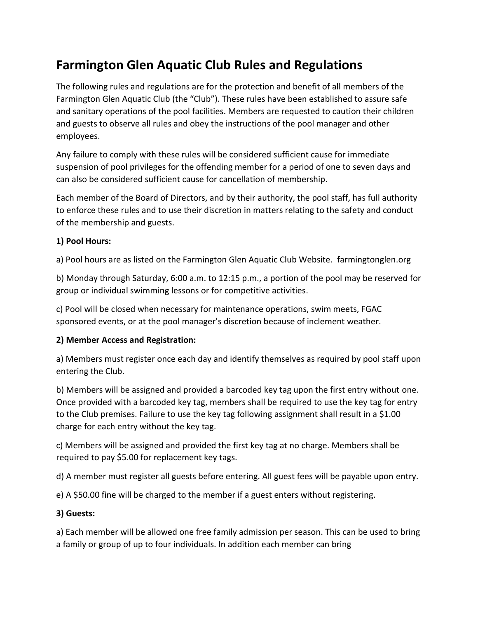# **Farmington Glen Aquatic Club Rules and Regulations**

The following rules and regulations are for the protection and benefit of all members of the Farmington Glen Aquatic Club (the "Club"). These rules have been established to assure safe and sanitary operations of the pool facilities. Members are requested to caution their children and guests to observe all rules and obey the instructions of the pool manager and other employees.

Any failure to comply with these rules will be considered sufficient cause for immediate suspension of pool privileges for the offending member for a period of one to seven days and can also be considered sufficient cause for cancellation of membership.

Each member of the Board of Directors, and by their authority, the pool staff, has full authority to enforce these rules and to use their discretion in matters relating to the safety and conduct of the membership and guests.

## **1) Pool Hours:**

a) Pool hours are as listed on the Farmington Glen Aquatic Club Website. farmingtonglen.org

b) Monday through Saturday, 6:00 a.m. to 12:15 p.m., a portion of the pool may be reserved for group or individual swimming lessons or for competitive activities.

c) Pool will be closed when necessary for maintenance operations, swim meets, FGAC sponsored events, or at the pool manager's discretion because of inclement weather.

#### **2) Member Access and Registration:**

a) Members must register once each day and identify themselves as required by pool staff upon entering the Club.

b) Members will be assigned and provided a barcoded key tag upon the first entry without one. Once provided with a barcoded key tag, members shall be required to use the key tag for entry to the Club premises. Failure to use the key tag following assignment shall result in a \$1.00 charge for each entry without the key tag.

c) Members will be assigned and provided the first key tag at no charge. Members shall be required to pay \$5.00 for replacement key tags.

d) A member must register all guests before entering. All guest fees will be payable upon entry.

e) A \$50.00 fine will be charged to the member if a guest enters without registering.

## **3) Guests:**

a) Each member will be allowed one free family admission per season. This can be used to bring a family or group of up to four individuals. In addition each member can bring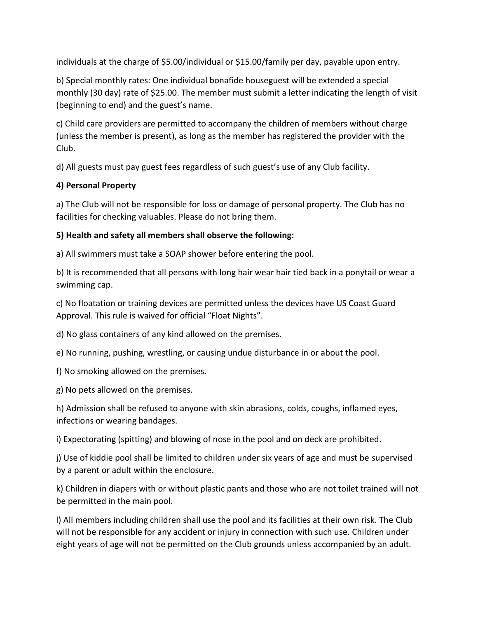individuals at the charge of \$5.00/individual or \$15.00/family per day, payable upon entry.

b) Special monthly rates: One individual bonafide houseguest will be extended a special monthly (30 day) rate of \$25.00. The member must submit a letter indicating the length of visit (beginning to end) and the guest's name.

c) Child care providers are permitted to accompany the children of members without charge (unless the member is present), as long as the member has registered the provider with the Club.

d) All guests must pay guest fees regardless of such guest's use of any Club facility.

## **4) Personal Property**

a) The Club will not be responsible for loss or damage of personal property. The Club has no facilities for checking valuables. Please do not bring them.

## **5) Health and safety all members shall observe the following:**

a) All swimmers must take a SOAP shower before entering the pool.

b) It is recommended that all persons with long hair wear hair tied back in a ponytail or wear a swimming cap.

c) No floatation or training devices are permitted unless the devices have US Coast Guard Approval. This rule is waived for official "Float Nights".

d) No glass containers of any kind allowed on the premises.

e) No running, pushing, wrestling, or causing undue disturbance in or about the pool.

f) No smoking allowed on the premises.

g) No pets allowed on the premises.

h) Admission shall be refused to anyone with skin abrasions, colds, coughs, inflamed eyes, infections or wearing bandages.

i) Expectorating (spitting) and blowing of nose in the pool and on deck are prohibited.

j) Use of kiddie pool shall be limited to children under six years of age and must be supervised by a parent or adult within the enclosure.

k) Children in diapers with or without plastic pants and those who are not toilet trained will not be permitted in the main pool.

l) All members including children shall use the pool and its facilities at their own risk. The Club will not be responsible for any accident or injury in connection with such use. Children under eight years of age will not be permitted on the Club grounds unless accompanied by an adult.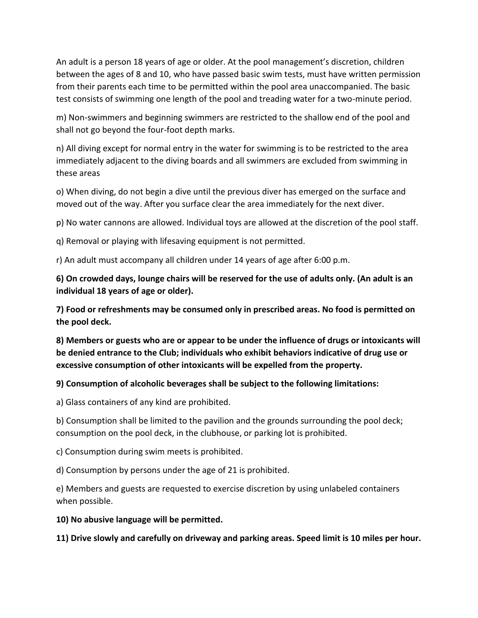An adult is a person 18 years of age or older. At the pool management's discretion, children between the ages of 8 and 10, who have passed basic swim tests, must have written permission from their parents each time to be permitted within the pool area unaccompanied. The basic test consists of swimming one length of the pool and treading water for a two-minute period.

m) Non-swimmers and beginning swimmers are restricted to the shallow end of the pool and shall not go beyond the four-foot depth marks.

n) All diving except for normal entry in the water for swimming is to be restricted to the area immediately adjacent to the diving boards and all swimmers are excluded from swimming in these areas

o) When diving, do not begin a dive until the previous diver has emerged on the surface and moved out of the way. After you surface clear the area immediately for the next diver.

p) No water cannons are allowed. Individual toys are allowed at the discretion of the pool staff.

q) Removal or playing with lifesaving equipment is not permitted.

r) An adult must accompany all children under 14 years of age after 6:00 p.m.

**6) On crowded days, lounge chairs will be reserved for the use of adults only. (An adult is an individual 18 years of age or older).**

**7) Food or refreshments may be consumed only in prescribed areas. No food is permitted on the pool deck.**

**8) Members or guests who are or appear to be under the influence of drugs or intoxicants will be denied entrance to the Club; individuals who exhibit behaviors indicative of drug use or excessive consumption of other intoxicants will be expelled from the property.** 

**9) Consumption of alcoholic beverages shall be subject to the following limitations:**

a) Glass containers of any kind are prohibited.

b) Consumption shall be limited to the pavilion and the grounds surrounding the pool deck; consumption on the pool deck, in the clubhouse, or parking lot is prohibited.

c) Consumption during swim meets is prohibited.

d) Consumption by persons under the age of 21 is prohibited.

e) Members and guests are requested to exercise discretion by using unlabeled containers when possible.

**10) No abusive language will be permitted.**

**11) Drive slowly and carefully on driveway and parking areas. Speed limit is 10 miles per hour.**